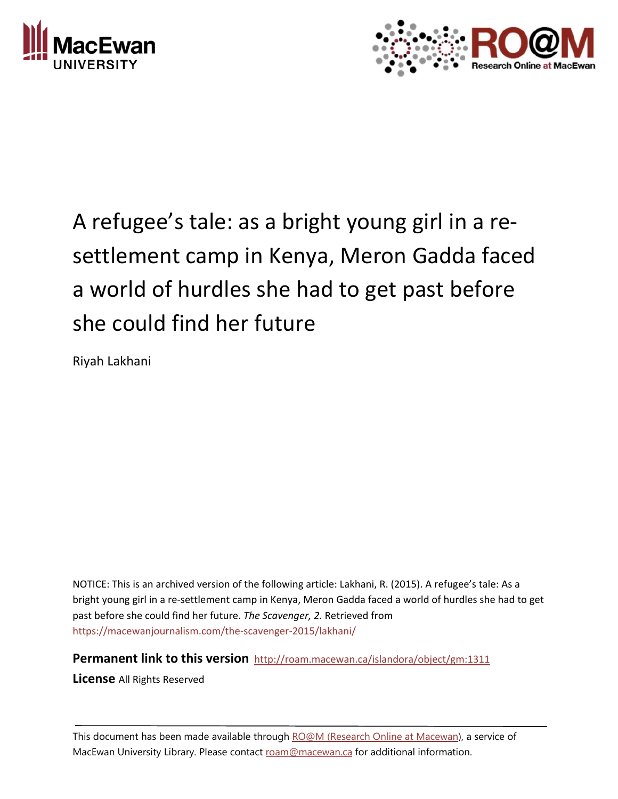



# A refugee's tale: as a bright young girl in a re‐ settlement camp in Kenya, Meron Gadda faced a world of hurdles she had to get past before she could find her future

Riyah Lakhani

NOTICE: This is an archived version of the following article: Lakhani, R. (2015). A refugee's tale: As a bright young girl in a re‐settlement camp in Kenya, Meron Gadda faced a world of hurdles she had to get past before she could find her future. *The Scavenger, 2.* Retrieved from https://macewanjournalism.com/the‐scavenger‐2015/lakhani/

**Permanent link to this version** http://roam.macewan.ca/islandora/object/gm:1311

**License** All Rights Reserved

This document has been made available through RO@M (Research Online at Macewan), a service of MacEwan University Library. Please contact roam@macewan.ca for additional information.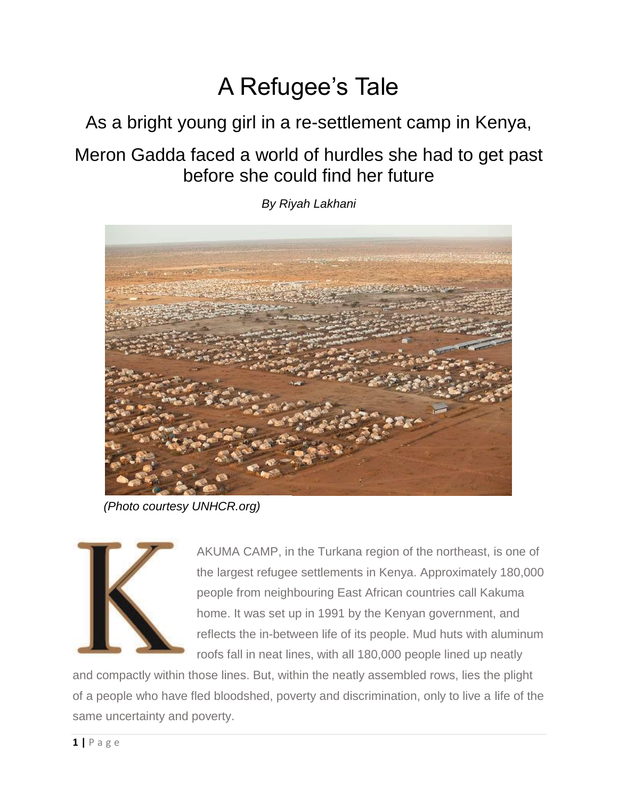## A Refugee's Tale

As a bright young girl in a re-settlement camp in Kenya,

Meron Gadda faced a world of hurdles she had to get past before she could find her future

*By Riyah Lakhani*

*(Photo courtesy UNHCR.org)*



AKUMA CAMP, in the Turkana region of the northeast, is one of the largest refugee settlements in Kenya. Approximately 180,000 people from neighbouring East African countries call Kakuma home. It was set up in 1991 by the Kenyan government, and reflects the in-between life of its people. Mud huts with aluminum roofs fall in neat lines, with all 180,000 people lined up neatly

and compactly within those lines. But, within the neatly assembled rows, lies the plight of a people who have fled bloodshed, poverty and discrimination, only to live a life of the same uncertainty and poverty.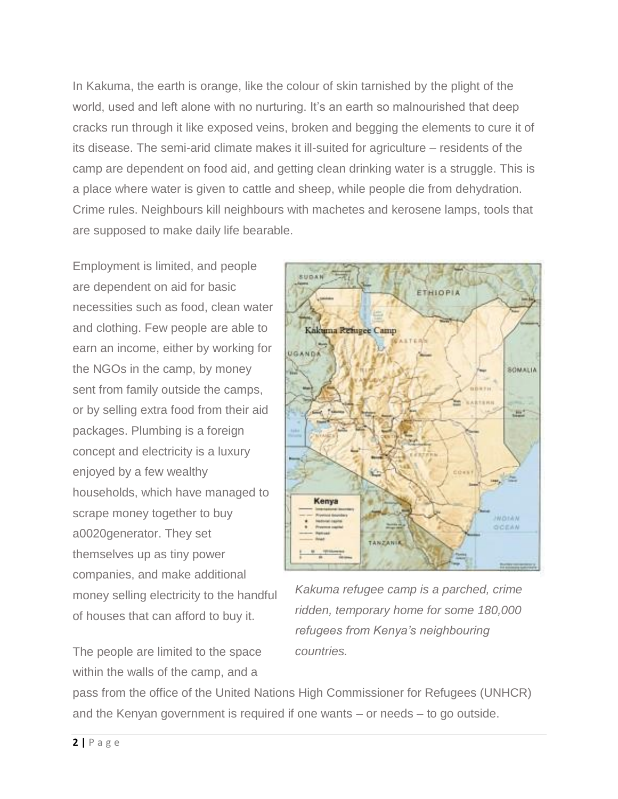In Kakuma, the earth is orange, like the colour of skin tarnished by the plight of the world, used and left alone with no nurturing. It's an earth so malnourished that deep cracks run through it like exposed veins, broken and begging the elements to cure it of its disease. The semi-arid climate makes it ill-suited for agriculture – residents of the camp are dependent on food aid, and getting clean drinking water is a struggle. This is a place where water is given to cattle and sheep, while people die from dehydration. Crime rules. Neighbours kill neighbours with machetes and kerosene lamps, tools that are supposed to make daily life bearable.

Employment is limited, and people are dependent on aid for basic necessities such as food, clean water and clothing. Few people are able to earn an income, either by working for the NGOs in the camp, by money sent from family outside the camps, or by selling extra food from their aid packages. Plumbing is a foreign concept and electricity is a luxury enjoyed by a few wealthy households, which have managed to scrape money together to buy a0020generator. They set themselves up as tiny power companies, and make additional money selling electricity to the handful of houses that can afford to buy it.

The people are limited to the space within the walls of the camp, and a



*Kakuma refugee camp is a parched, crime ridden, temporary home for some 180,000 refugees from Kenya's neighbouring countries.*

pass from the office of the United Nations High Commissioner for Refugees (UNHCR) and the Kenyan government is required if one wants – or needs – to go outside.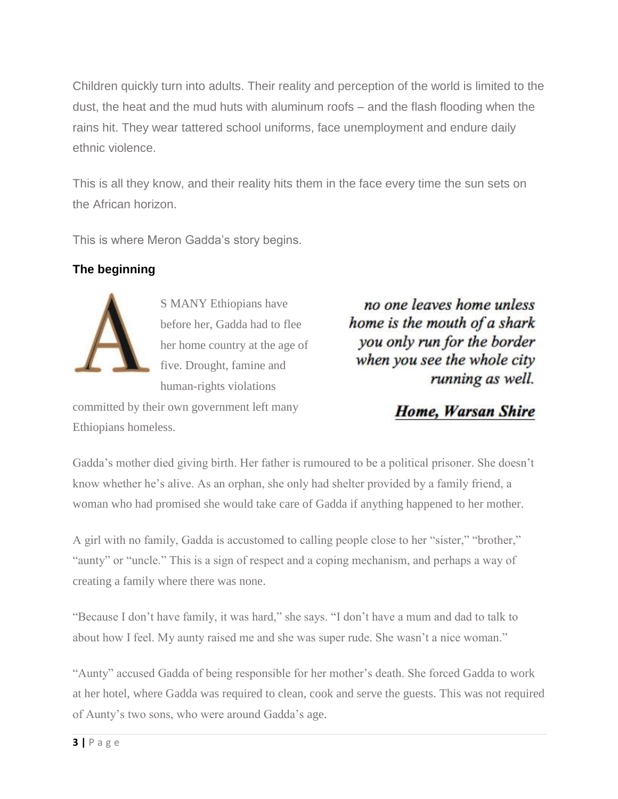Children quickly turn into adults. Their reality and perception of the world is limited to the dust, the heat and the mud huts with aluminum roofs – and the flash flooding when the rains hit. They wear tattered school uniforms, face unemployment and endure daily ethnic violence.

This is all they know, and their reality hits them in the face every time the sun sets on the African horizon.

This is where Meron Gadda's story begins.

## **The beginning**



S MANY Ethiopians have before her, Gadda had to flee her home country at the age of five. Drought, famine and human-rights violations

committed by their own government left many Ethiopians homeless.

no one leaves home unless home is the mouth of a shark you only run for the border when you see the whole city running as well.

## **Home, Warsan Shire**

Gadda's mother died giving birth. Her father is rumoured to be a political prisoner. She doesn't know whether he's alive. As an orphan, she only had shelter provided by a family friend, a woman who had promised she would take care of Gadda if anything happened to her mother.

A girl with no family, Gadda is accustomed to calling people close to her "sister," "brother," "aunty" or "uncle." This is a sign of respect and a coping mechanism, and perhaps a way of creating a family where there was none.

"Because I don't have family, it was hard," she says. "I don't have a mum and dad to talk to about how I feel. My aunty raised me and she was super rude. She wasn't a nice woman."

"Aunty" accused Gadda of being responsible for her mother's death. She forced Gadda to work at her hotel, where Gadda was required to clean, cook and serve the guests. This was not required of Aunty's two sons, who were around Gadda's age.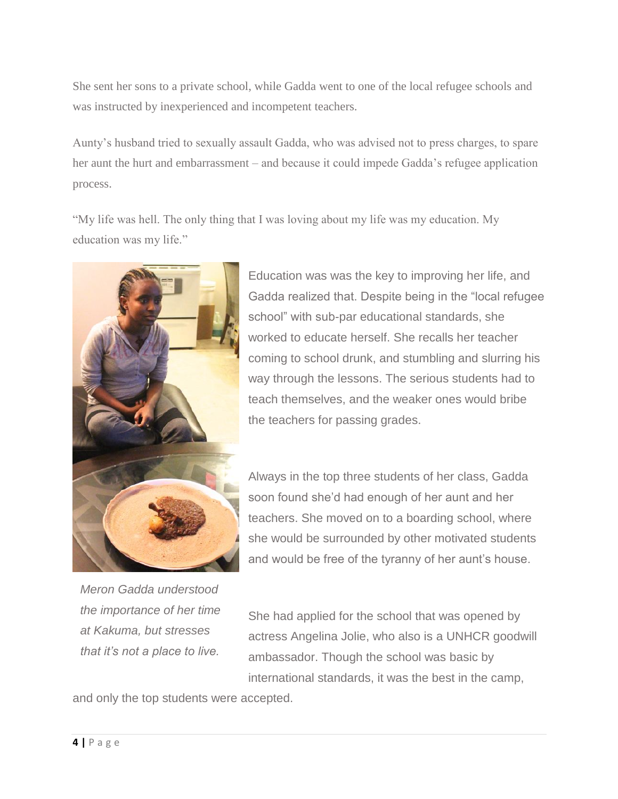She sent her sons to a private school, while Gadda went to one of the local refugee schools and was instructed by inexperienced and incompetent teachers.

Aunty's husband tried to sexually assault Gadda, who was advised not to press charges, to spare her aunt the hurt and embarrassment – and because it could impede Gadda's refugee application process.

"My life was hell. The only thing that I was loving about my life was my education. My education was my life."



Education was was the key to improving her life, and Gadda realized that. Despite being in the "local refugee school" with sub-par educational standards, she worked to educate herself. She recalls her teacher coming to school drunk, and stumbling and slurring his way through the lessons. The serious students had to teach themselves, and the weaker ones would bribe the teachers for passing grades.

Always in the top three students of her class, Gadda soon found she'd had enough of her aunt and her teachers. She moved on to a boarding school, where she would be surrounded by other motivated students and would be free of the tyranny of her aunt's house.

*Meron Gadda understood the importance of her time at Kakuma, but stresses that it's not a place to live.*

She had applied for the school that was opened by actress Angelina Jolie, who also is a UNHCR goodwill ambassador. Though the school was basic by international standards, it was the best in the camp,

and only the top students were accepted.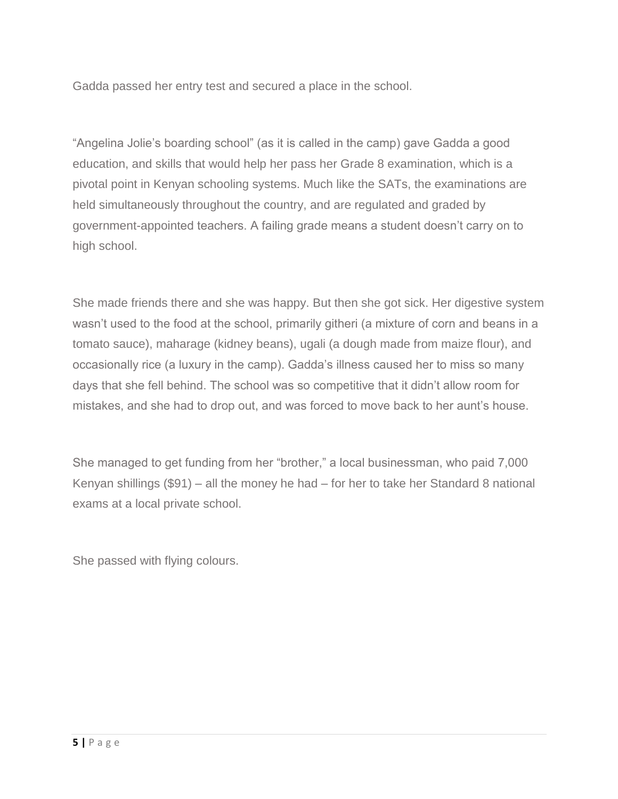Gadda passed her entry test and secured a place in the school.

"Angelina Jolie's boarding school" (as it is called in the camp) gave Gadda a good education, and skills that would help her pass her Grade 8 examination, which is a pivotal point in Kenyan schooling systems. Much like the SATs, the examinations are held simultaneously throughout the country, and are regulated and graded by government-appointed teachers. A failing grade means a student doesn't carry on to high school.

She made friends there and she was happy. But then she got sick. Her digestive system wasn't used to the food at the school, primarily githeri (a mixture of corn and beans in a tomato sauce), maharage (kidney beans), ugali (a dough made from maize flour), and occasionally rice (a luxury in the camp). Gadda's illness caused her to miss so many days that she fell behind. The school was so competitive that it didn't allow room for mistakes, and she had to drop out, and was forced to move back to her aunt's house.

She managed to get funding from her "brother," a local businessman, who paid 7,000 Kenyan shillings (\$91) – all the money he had – for her to take her Standard 8 national exams at a local private school.

She passed with flying colours.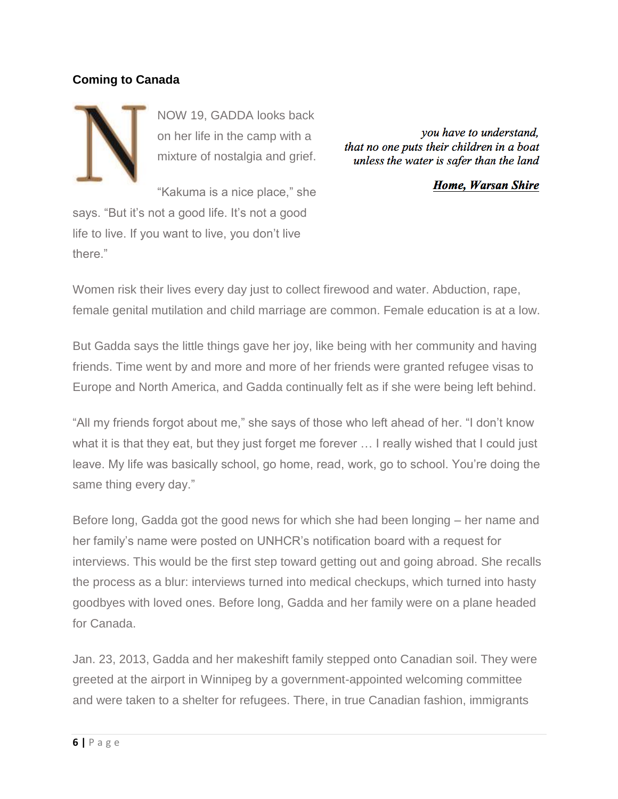#### **Coming to Canada**



NOW 19, GADDA looks back on her life in the camp with a mixture of nostalgia and grief.

you have to understand, that no one puts their children in a boat unless the water is safer than the land

**Home, Warsan Shire** 

"Kakuma is a nice place," she says. "But it's not a good life. It's not a good life to live. If you want to live, you don't live there."

Women risk their lives every day just to collect firewood and water. Abduction, rape, female genital mutilation and child marriage are common. Female education is at a low.

But Gadda says the little things gave her joy, like being with her community and having friends. Time went by and more and more of her friends were granted refugee visas to Europe and North America, and Gadda continually felt as if she were being left behind.

"All my friends forgot about me," she says of those who left ahead of her. "I don't know what it is that they eat, but they just forget me forever ... I really wished that I could just leave. My life was basically school, go home, read, work, go to school. You're doing the same thing every day."

Before long, Gadda got the good news for which she had been longing – her name and her family's name were posted on UNHCR's notification board with a request for interviews. This would be the first step toward getting out and going abroad. She recalls the process as a blur: interviews turned into medical checkups, which turned into hasty goodbyes with loved ones. Before long, Gadda and her family were on a plane headed for Canada.

Jan. 23, 2013, Gadda and her makeshift family stepped onto Canadian soil. They were greeted at the airport in Winnipeg by a government-appointed welcoming committee and were taken to a shelter for refugees. There, in true Canadian fashion, immigrants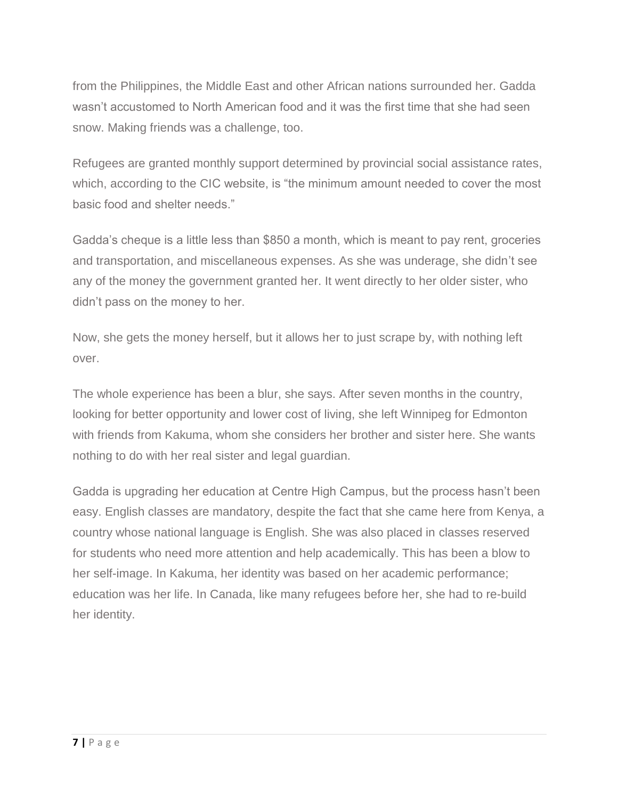from the Philippines, the Middle East and other African nations surrounded her. Gadda wasn't accustomed to North American food and it was the first time that she had seen snow. Making friends was a challenge, too.

Refugees are granted monthly support determined by provincial social assistance rates, which, according to the CIC website, is "the minimum amount needed to cover the most basic food and shelter needs."

Gadda's cheque is a little less than \$850 a month, which is meant to pay rent, groceries and transportation, and miscellaneous expenses. As she was underage, she didn't see any of the money the government granted her. It went directly to her older sister, who didn't pass on the money to her.

Now, she gets the money herself, but it allows her to just scrape by, with nothing left over.

The whole experience has been a blur, she says. After seven months in the country, looking for better opportunity and lower cost of living, she left Winnipeg for Edmonton with friends from Kakuma, whom she considers her brother and sister here. She wants nothing to do with her real sister and legal guardian.

Gadda is upgrading her education at Centre High Campus, but the process hasn't been easy. English classes are mandatory, despite the fact that she came here from Kenya, a country whose national language is English. She was also placed in classes reserved for students who need more attention and help academically. This has been a blow to her self-image. In Kakuma, her identity was based on her academic performance; education was her life. In Canada, like many refugees before her, she had to re-build her identity.